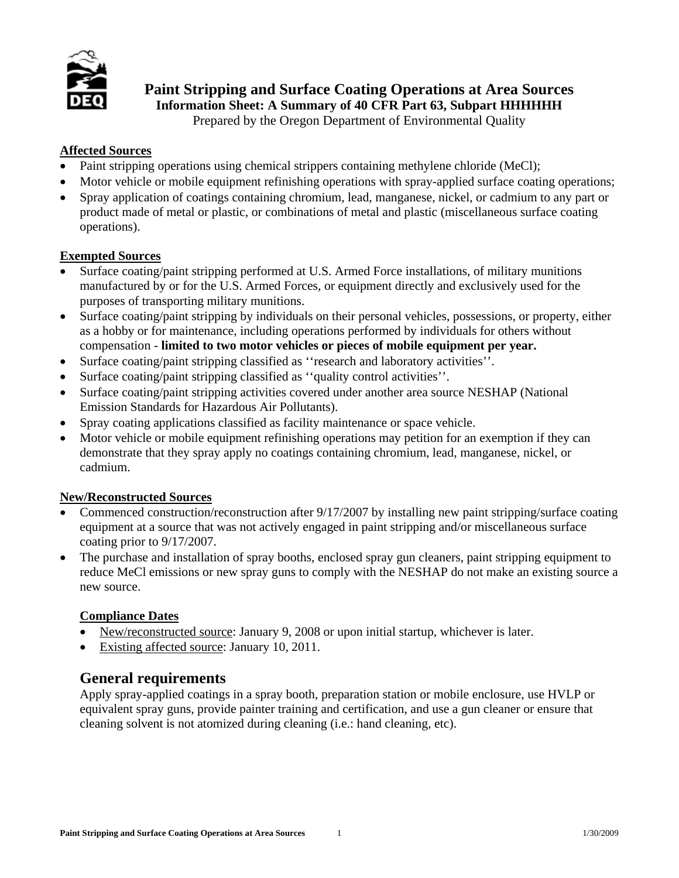

**Paint Stripping and Surface Coating Operations at Area Sources** 

**Information Sheet: A Summary of 40 CFR Part 63, Subpart HHHHHH** 

Prepared by the Oregon Department of Environmental Quality

# **Affected Sources**

- Paint stripping operations using chemical strippers containing methylene chloride (MeCl);
- Motor vehicle or mobile equipment refinishing operations with spray-applied surface coating operations;
- Spray application of coatings containing chromium, lead, manganese, nickel, or cadmium to any part or product made of metal or plastic, or combinations of metal and plastic (miscellaneous surface coating operations).

# **Exempted Sources**

- Surface coating/paint stripping performed at U.S. Armed Force installations, of military munitions manufactured by or for the U.S. Armed Forces, or equipment directly and exclusively used for the purposes of transporting military munitions.
- Surface coating/paint stripping by individuals on their personal vehicles, possessions, or property, either as a hobby or for maintenance, including operations performed by individuals for others without compensation - **limited to two motor vehicles or pieces of mobile equipment per year.**
- Surface coating/paint stripping classified as ''research and laboratory activities''.
- Surface coating/paint stripping classified as "quality control activities".
- Surface coating/paint stripping activities covered under another area source NESHAP (National Emission Standards for Hazardous Air Pollutants).
- Spray coating applications classified as facility maintenance or space vehicle.
- Motor vehicle or mobile equipment refinishing operations may petition for an exemption if they can demonstrate that they spray apply no coatings containing chromium, lead, manganese, nickel, or cadmium.

### **New/Reconstructed Sources**

- Commenced construction/reconstruction after 9/17/2007 by installing new paint stripping/surface coating equipment at a source that was not actively engaged in paint stripping and/or miscellaneous surface coating prior to 9/17/2007.
- The purchase and installation of spray booths, enclosed spray gun cleaners, paint stripping equipment to reduce MeCl emissions or new spray guns to comply with the NESHAP do not make an existing source a new source.

### **Compliance Dates**

- New/reconstructed source: January 9, 2008 or upon initial startup, whichever is later.
- Existing affected source: January 10, 2011.

# **General requirements**

Apply spray-applied coatings in a spray booth, preparation station or mobile enclosure, use HVLP or equivalent spray guns, provide painter training and certification, and use a gun cleaner or ensure that cleaning solvent is not atomized during cleaning (i.e.: hand cleaning, etc).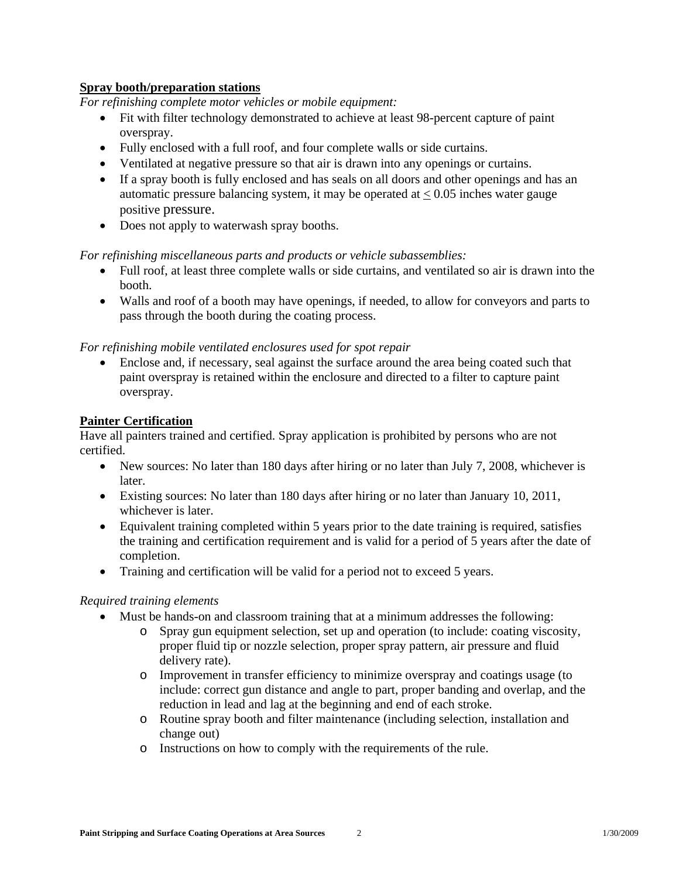### **Spray booth/preparation stations**

*For refinishing complete motor vehicles or mobile equipment:* 

- Fit with filter technology demonstrated to achieve at least 98-percent capture of paint overspray.
- Fully enclosed with a full roof, and four complete walls or side curtains.
- Ventilated at negative pressure so that air is drawn into any openings or curtains.
- If a spray booth is fully enclosed and has seals on all doors and other openings and has an automatic pressure balancing system, it may be operated at  $\leq 0.05$  inches water gauge positive pressure.
- Does not apply to waterwash spray booths.

*For refinishing miscellaneous parts and products or vehicle subassemblies:* 

- Full roof, at least three complete walls or side curtains, and ventilated so air is drawn into the booth.
- Walls and roof of a booth may have openings, if needed, to allow for conveyors and parts to pass through the booth during the coating process.

### *For refinishing mobile ventilated enclosures used for spot repair*

• Enclose and, if necessary, seal against the surface around the area being coated such that paint overspray is retained within the enclosure and directed to a filter to capture paint overspray.

### **Painter Certification**

Have all painters trained and certified. Spray application is prohibited by persons who are not certified.

- New sources: No later than 180 days after hiring or no later than July 7, 2008, whichever is later.
- Existing sources: No later than 180 days after hiring or no later than January 10, 2011, whichever is later.
- Equivalent training completed within 5 years prior to the date training is required, satisfies the training and certification requirement and is valid for a period of 5 years after the date of completion.
- Training and certification will be valid for a period not to exceed 5 years.

### *Required training elements*

- Must be hands-on and classroom training that at a minimum addresses the following:
	- o Spray gun equipment selection, set up and operation (to include: coating viscosity, proper fluid tip or nozzle selection, proper spray pattern, air pressure and fluid delivery rate).
	- o Improvement in transfer efficiency to minimize overspray and coatings usage (to include: correct gun distance and angle to part, proper banding and overlap, and the reduction in lead and lag at the beginning and end of each stroke.
	- o Routine spray booth and filter maintenance (including selection, installation and change out)
	- o Instructions on how to comply with the requirements of the rule.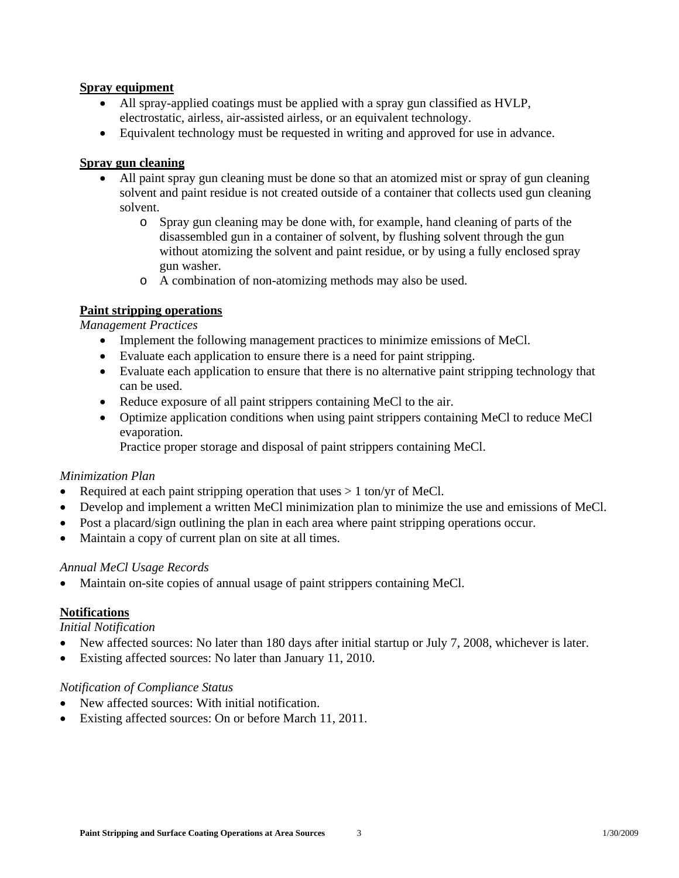### **Spray equipment**

- All spray-applied coatings must be applied with a spray gun classified as HVLP, electrostatic, airless, air-assisted airless, or an equivalent technology.
- Equivalent technology must be requested in writing and approved for use in advance.

### **Spray gun cleaning**

- All paint spray gun cleaning must be done so that an atomized mist or spray of gun cleaning solvent and paint residue is not created outside of a container that collects used gun cleaning solvent.
	- o Spray gun cleaning may be done with, for example, hand cleaning of parts of the disassembled gun in a container of solvent, by flushing solvent through the gun without atomizing the solvent and paint residue, or by using a fully enclosed spray gun washer.
	- o A combination of non-atomizing methods may also be used.

### **Paint stripping operations**

*Management Practices*

- Implement the following management practices to minimize emissions of MeCl.
- Evaluate each application to ensure there is a need for paint stripping.
- Evaluate each application to ensure that there is no alternative paint stripping technology that can be used.
- Reduce exposure of all paint strippers containing MeCl to the air.
- Optimize application conditions when using paint strippers containing MeCl to reduce MeCl evaporation.

Practice proper storage and disposal of paint strippers containing MeCl.

#### *Minimization Plan*

- Required at each paint stripping operation that uses  $> 1$  ton/yr of MeCl.
- Develop and implement a written MeCl minimization plan to minimize the use and emissions of MeCl.
- Post a placard/sign outlining the plan in each area where paint stripping operations occur.
- Maintain a copy of current plan on site at all times.

#### *Annual MeCl Usage Records*

• Maintain on-site copies of annual usage of paint strippers containing MeCl.

### **Notifications**

*Initial Notification* 

- New affected sources: No later than 180 days after initial startup or July 7, 2008, whichever is later.
- Existing affected sources: No later than January 11, 2010.

#### *Notification of Compliance Status*

- New affected sources: With initial notification.
- Existing affected sources: On or before March 11, 2011.